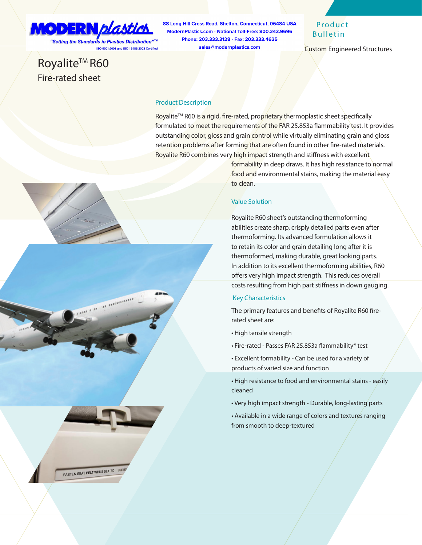# MODERN *plastic*

FASTEN SEAT BELT WHILE SEATED USE

"Setting the Standards in Plastics Distribution"™ ISO 9001:2008 and ISO 13485:2003 Certified

## Royalite<sup>™</sup> R60 Fire-rated sheet

88 Long Hill Cross Road, Shelton, Connecticut, 06484 USA ModernPlastics.com - National Toll-Free: 800.243.9696 Phone: 203.333.3128 - Fax: 203.333.4625 sales@modernplastics.com

## **Product** Bulletin

Custom Engineered Structures

#### Product Description

Royalite™ R60 is a rigid, fire-rated, proprietary thermoplastic sheet specifically formulated to meet the requirements of the FAR 25.853a flammability test. It provides outstanding color, gloss and grain control while virtually eliminating grain and gloss retention problems after forming that are often found in other fire-rated materials. Royalite R60 combines very high impact strength and stiffness with excellent

> formability in deep draws. It has high resistance to normal food and environmental stains, making the material easy to clean.

#### Value Solution

Royalite R60 sheet's outstanding thermoforming abilities create sharp, crisply detailed parts even after thermoforming. Its advanced formulation allows it to retain its color and grain detailing long after it is thermoformed, making durable, great looking parts. In addition to its excellent thermoforming abilities, R60 offers very high impact strength. This reduces overall costs resulting from high part stiffness in down gauging.

#### Key Characteristics

The primary features and benefits of Royalite R60 firerated sheet are:

- High tensile strength
- Fire-rated Passes FAR 25.853a flammability\* test
- Excellent formability Can be used for a variety of products of varied size and function
- High resistance to food and environmental stains easily cleaned
- Very high impact strength Durable, long-lasting parts
- Available in a wide range of colors and textures ranging from smooth to deep-textured